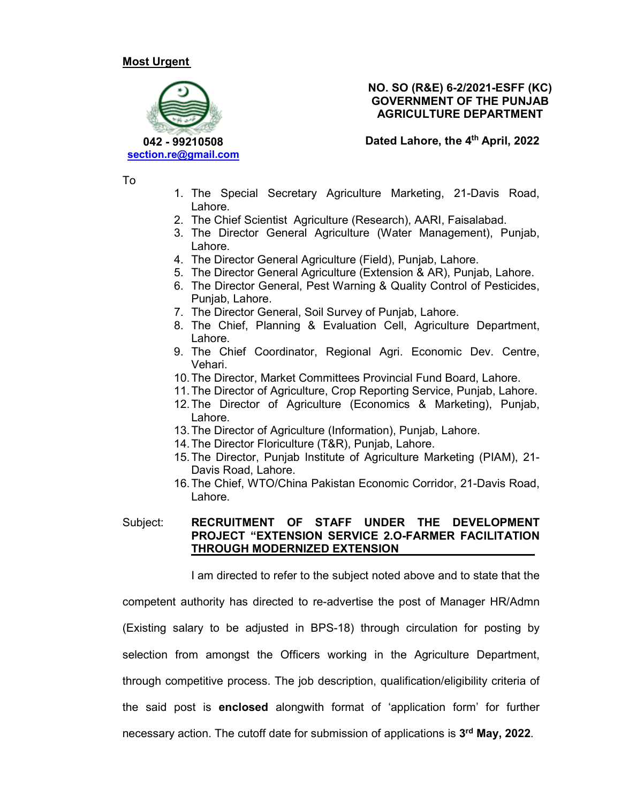### **Most Urgent**



### **NO. SO (R&E) 6-2/2021-ESFF (KC) GOVERNMENT OF THE PUNJAB AGRICULTURE DEPARTMENT**

**Dated Lahore, the 4th April, 2022** 

To

- 1. The Special Secretary Agriculture Marketing, 21-Davis Road, Lahore.
- 2. The Chief Scientist Agriculture (Research), AARI, Faisalabad.
- 3. The Director General Agriculture (Water Management), Punjab, Lahore.
- 4. The Director General Agriculture (Field), Punjab, Lahore.
- 5. The Director General Agriculture (Extension & AR), Punjab, Lahore.
- 6. The Director General, Pest Warning & Quality Control of Pesticides, Punjab, Lahore.
- 7. The Director General, Soil Survey of Punjab, Lahore.
- 8. The Chief, Planning & Evaluation Cell, Agriculture Department, Lahore.
- 9. The Chief Coordinator, Regional Agri. Economic Dev. Centre, Vehari.
- 10. The Director, Market Committees Provincial Fund Board, Lahore.
- 11. The Director of Agriculture, Crop Reporting Service, Punjab, Lahore.
- 12. The Director of Agriculture (Economics & Marketing), Punjab, Lahore.
- 13. The Director of Agriculture (Information), Punjab, Lahore.
- 14. The Director Floriculture (T&R), Punjab, Lahore.
- 15. The Director, Punjab Institute of Agriculture Marketing (PIAM), 21- Davis Road, Lahore.
- 16. The Chief, WTO/China Pakistan Economic Corridor, 21-Davis Road, Lahore.

#### Subject: **RECRUITMENT OF STAFF UNDER THE DEVELOPMENT PROJECT "EXTENSION SERVICE 2.O-FARMER FACILITATION THROUGH MODERNIZED EXTENSION**

I am directed to refer to the subject noted above and to state that the

competent authority has directed to re-advertise the post of Manager HR/Admn

(Existing salary to be adjusted in BPS-18) through circulation for posting by

selection from amongst the Officers working in the Agriculture Department,

through competitive process. The job description, qualification/eligibility criteria of

the said post is **enclosed** alongwith format of 'application form' for further

necessary action. The cutoff date for submission of applications is **3 rd May, 2022**.